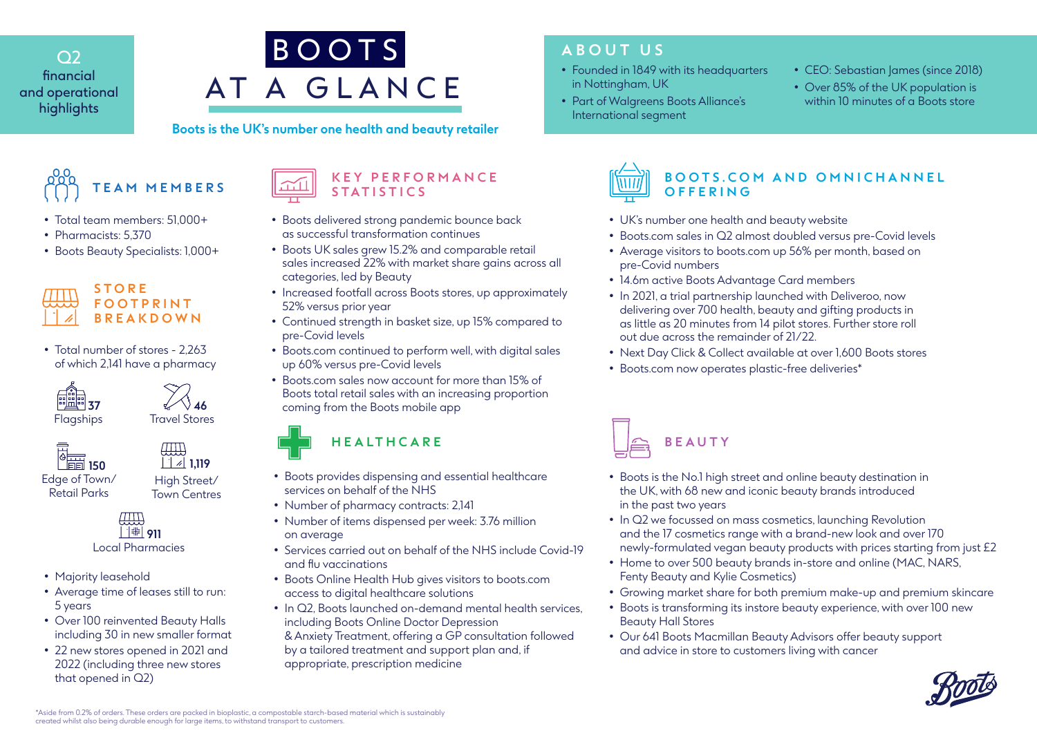$\bigcirc$ financial and operational highlights



#### **Boots is the UK's number one health and beauty retailer**

**TEAM MEMBERS**

- Total team members: 51,000+
- Pharmacists: 5,370
- Boots Beauty Specialists: 1,000+



• Total number of stores - 2,263 of which 2,141 have a pharmacy

Flagships Travel Stores





Local Pharmacies <sup>1</sup>#| 911

- Majority leasehold
- Average time of leases still to run: 5 years
- Over 100 reinvented Beauty Halls including 30 in new smaller format
- 22 new stores opened in 2021 and 2022 (including three new stores that opened in Q2)

#### **K E Y P E R F O R M A N C E STATISTICS**

- Boots delivered strong pandemic bounce back as successful transformation continues
- Boots UK sales grew 15.2% and comparable retail sales increased 22% with market share gains across all categories, led by Beauty
- Increased footfall across Boots stores, up approximately 52% versus prior year
- Continued strength in basket size, up 15% compared to pre-Covid levels
- Boots.com continued to perform well, with digital sales up 60% versus pre-Covid levels
- Boots.com sales now account for more than 15% of Boots total retail sales with an increasing proportion coming from the Boots mobile app

## **HEALTHCARE**

- Boots provides dispensing and essential healthcare services on behalf of the NHS
- Number of pharmacy contracts: 2,141
- Number of items dispensed per week: 3.76 million on average
- Services carried out on behalf of the NHS include Covid-19 and flu vaccinations
- Boots Online Health Hub gives visitors to boots.com access to digital healthcare solutions
- In Q2, Boots launched on-demand mental health services. including Boots Online Doctor Depression & Anxiety Treatment, offering a GP consultation followed
	- by a tailored treatment and support plan and, if appropriate, prescription medicine

# **ABOUT US**

- in Nottingham, UK
- Part of Walgreens Boots Alliance's International segment
- CEO: Sebastian James (since 2018)
- Over 85% of the UK population is within 10 minutes of a Boots store



### **BOOTS.COM AND OMNICHANNEL OFFERING**

- UK's number one health and beauty website
- Boots.com sales in Q2 almost doubled versus pre-Covid levels
- Average visitors to boots.com up 56% per month, based on pre-Covid numbers
- 14.6m active Boots Advantage Card members
- In 2021, a trial partnership launched with Deliveroo, now delivering over 700 health, beauty and gifting products in as little as 20 minutes from 14 pilot stores. Further store roll out due across the remainder of 21/22.
- Next Day Click & Collect available at over 1,600 Boots stores
- Boots.com now operates plastic-free deliveries\*



- Boots is the No.1 high street and online beauty destination in the UK, with 68 new and iconic beauty brands introduced in the past two years
- In Q2 we focussed on mass cosmetics, launching Revolution and the 17 cosmetics range with a brand-new look and over 170 newly-formulated vegan beauty products with prices starting from just £2
- Home to over 500 beauty brands in-store and online (MAC, NARS, Fenty Beauty and Kylie Cosmetics)
- Growing market share for both premium make-up and premium skincare
- Boots is transforming its instore beauty experience, with over 100 new Beauty Hall Stores
- Our 641 Boots Macmillan Beauty Advisors offer beauty support and advice in store to customers living with cancer



\*Aside from 0.2% of orders. These orders are packed in bioplastic, a compostable starch-based material which is sustainably created whilst also being durable enough for large items, to withstand transport to customers.